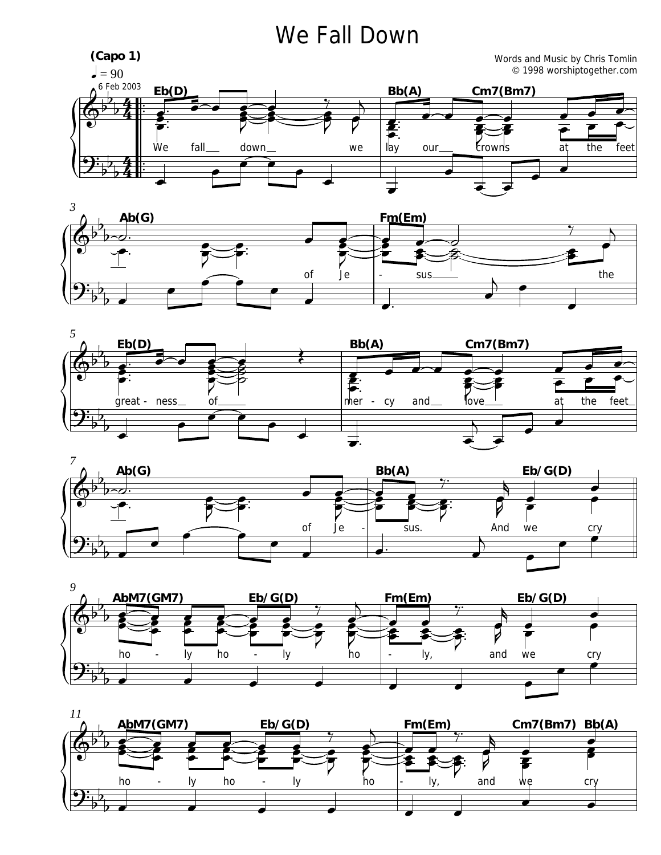## We Fall Down